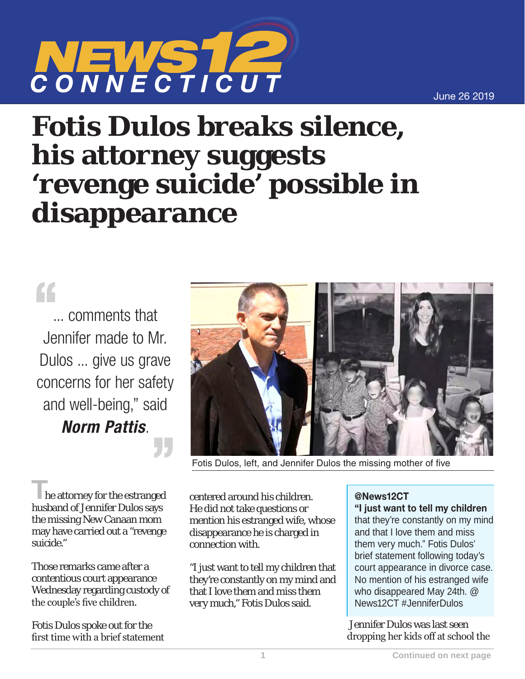June 26 2019



## **Fotis Dulos breaks silence, his attorney suggests 'revenge suicide' possible in disappearance**

## $\mathcal{C}$

... comments that Jennifer made to Mr. Dulos ... give us grave concerns for her safety and well-being," said *Norm Pattis*.

**T**he attorney for the estranged husband of Jennifer Dulos says the missing New Canaan mom may have carried out a "revenge suicide."

Those remarks came after a contentious court appearance Wednesday regarding custody of the couple's five children.

Fotis Dulos spoke out for the first time with a brief statement



Fotis Dulos, left, and Jennifer Dulos the missing mother of five

centered around his children. He did not take questions or mention his estranged wife, whose disappearance he is charged in connection with.

"I just want to tell my children that they're constantly on my mind and that I love them and miss them very much," Fotis Dulos said.

## @News12CT

"I just want to tell my children that they're constantly on my mind and that I love them and miss them very much." Fotis Dulos' brief statement following today's court appearance in divorce case. No mention of his estranged wife who disappeared May 24th. @ News12CT #JenniferDulos

 Jennifer Dulos was last seen dropping her kids off at school the